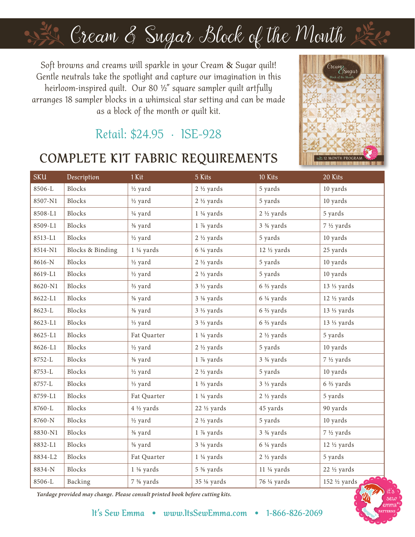# Cream & Sugar Block of the Month

Soft browns and creams will sparkle in your Cream & Sugar quilt! Gentle neutrals take the spotlight and capture our imagination in this heirloom-inspired quilt. Our 80 ½" square sampler quilt artfully arranges 18 sampler blocks in a whimsical star setting and can be made as a block of the month or quilt kit.

### Retail: \$24.95 · ISE-928

### **COMPLETE KIT FABRIC REQUIREMENTS**



| SKU        | Description                 | 1 Kit                | 5 Kits               | 10 Kits                             | 20 Kits                  |
|------------|-----------------------------|----------------------|----------------------|-------------------------------------|--------------------------|
| 8506-L     | Blocks                      | 1/2 yard             | $2\frac{1}{2}$ yards | 5 yards                             | 10 yards                 |
| 8507-N1    | Blocks                      | 1/2 yard             | $2\frac{1}{2}$ yards | 5 yards                             | 10 yards                 |
| 8508-L1    | Blocks                      | 1/4 yard             | $1\frac{1}{4}$ yards | $2\frac{1}{2}$ yards                | 5 yards                  |
| 8509-L1    | Blocks                      | % yard               | 1 % yards            | 3 <sup>3</sup> / <sub>4</sub> yards | 7 ½ yards                |
| 8513-L1    | Blocks                      | 1/2 yard             | $2\frac{1}{2}$ yards | 5 yards                             | 10 yards                 |
| 8514-N1    | <b>Blocks &amp; Binding</b> | $1\frac{1}{4}$ yards | 6 ¼ yards            | 12 1/2 yards                        | 25 yards                 |
| 8616-N     | Blocks                      | 1/2 yard             | $2\frac{1}{2}$ yards | 5 yards                             | 10 yards                 |
| 8619-L1    | Blocks                      | 1/2 yard             | $2\frac{1}{2}$ yards | 5 yards                             | 10 yards                 |
| 8620-N1    | Blocks                      | % yard               | 3 1/3 yards          | $6\ \%$ yards                       | 13 1/ <sub>3</sub> yards |
| 8622-L1    | Blocks                      | % yard               | 3 1/8 yards          | $6\frac{1}{4}$ yards                | $12 \frac{1}{2}$ yards   |
| 8623-L     | Blocks                      | % yard               | $3\frac{1}{3}$ yards | $6\frac{2}{3}$ yards                | 13 1/ <sub>3</sub> yards |
| 8623-L1    | Blocks                      | 1/ <sub>3</sub> yard | $3\frac{1}{3}$ yards | $6\frac{2}{3}$ yards                | 13 1/ <sub>3</sub> yards |
| 8625-L1    | Blocks                      | Fat Quarter          | $1\frac{1}{4}$ yards | $2\frac{1}{2}$ yards                | 5 yards                  |
| 8626-L1    | Blocks                      | 1/2 yard             | $2\frac{1}{2}$ yards | 5 yards                             | 10 yards                 |
| 8752-L     | Blocks                      | % yard               | 1 % yards            | 3 <sup>3</sup> / <sub>4</sub> yards | 7 ½ yards                |
| $8753 - L$ | Blocks                      | 1/2 yard             | $2\frac{1}{2}$ yards | 5 yards                             | 10 yards                 |
| 8757-L     | Blocks                      | 1/ <sub>3</sub> yard | $1\frac{2}{3}$ yards | $3\frac{1}{3}$ yards                | 6 % yards                |
| 8759-L1    | Blocks                      | Fat Quarter          | $1\frac{1}{4}$ yards | $2\frac{1}{2}$ yards                | 5 yards                  |
| 8760-L     | Blocks                      | 4 1/2 yards          | 22 1/2 yards         | 45 yards                            | 90 yards                 |
| 8760-N     | Blocks                      | 1/2 yard             | $2\frac{1}{2}$ yards | 5 yards                             | 10 yards                 |
| 8830-N1    | Blocks                      | % yard               | 1 % yards            | 3 <sup>3</sup> / <sub>4</sub> yards | 7 ½ yards                |
| 8832-L1    | Blocks                      | % yard               | $3\frac{1}{8}$ yards | $6\frac{1}{4}$ yards                | 12 1/2 yards             |
| 8834-L2    | Blocks                      | Fat Quarter          | $1\frac{1}{4}$ yards | $2\frac{1}{2}$ yards                | 5 yards                  |
| 8834-N     | Blocks                      | $1\frac{1}{8}$ yards | 5 % yards            | $11 \frac{1}{4}$ yards              | 22 1/2 yards             |
| 8506-L     | Backing                     | 7 % yards            | 35 1/8 yards         | 76 ¼ yards                          | 200<br>152 ½ yards       |

*Yardage provided may change. Please consult printed book before cutting kits.*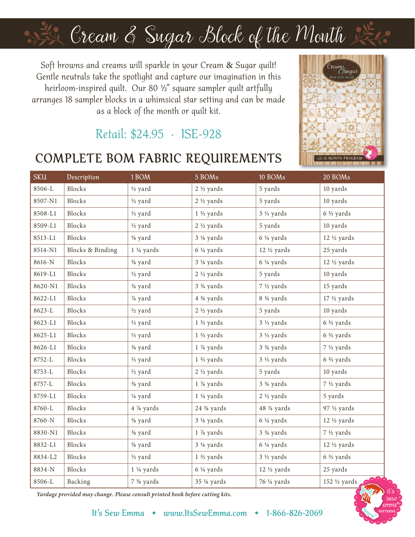# Cream & Sugar Block of the Month

Soft browns and creams will sparkle in your Cream & Sugar quilt! Gentle neutrals take the spotlight and capture our imagination in this heirloom-inspired quilt. Our 80 ½" square sampler quilt artfully arranges 18 sampler blocks in a whimsical star setting and can be made as a block of the month or quilt kit.

### Retail: \$24.95 · ISE-928

#### **COMPLETE BOM FABRIC REQUIREMENTS**



| <b>SKU</b> | Description                 | 1 BOM                | 5 BOMs                              | 10 BOMs                              | 20 BOMs                |
|------------|-----------------------------|----------------------|-------------------------------------|--------------------------------------|------------------------|
| 8506-L     | Blocks                      | 1/2 yard             | $2\frac{1}{2}$ yards                | 5 yards                              | 10 yards               |
| 8507-N1    | Blocks                      | 1/2 yard             | $2\frac{1}{2}$ yards                | 5 yards                              | 10 yards               |
| 8508-L1    | Blocks                      | 1/ <sub>3</sub> yard | $1\frac{2}{3}$ yards                | $3\frac{1}{3}$ yards                 | $6\frac{2}{3}$ yards   |
| 8509-L1    | Blocks                      | 1/2 yard             | $2\frac{1}{2}$ yards                | 5 yards                              | 10 yards               |
| 8513-L1    | Blocks                      | % yard               | $3\frac{1}{8}$ yards                | $6\frac{1}{4}$ yards                 | $12 \frac{1}{2}$ yards |
| 8514-N1    | <b>Blocks &amp; Binding</b> | $1\frac{1}{4}$ yards | $6\frac{1}{4}$ yards                | 12 1/2 yards                         | 25 yards               |
| 8616-N     | Blocks                      | % yard               | $3\frac{1}{8}$ yards                | $6\frac{1}{4}$ yards                 | $12 \frac{1}{2}$ yards |
| 8619-L1    | Blocks                      | 1/2 yard             | $2\frac{1}{2}$ yards                | 5 yards                              | 10 yards               |
| 8620-N1    | Blocks                      | 3/ <sub>4</sub> yard | 3 <sup>3</sup> / <sub>4</sub> yards | 7 ½ yards                            | 15 yards               |
| 8622-L1    | Blocks                      | % yard               | 4 % yards                           | 8 <sup>3</sup> / <sub>4</sub> yards  | $17 \frac{1}{2}$ yards |
| 8623-L     | Blocks                      | 1/2 yard             | $2\frac{1}{2}$ yards                | 5 yards                              | 10 yards               |
| 8623-L1    | Blocks                      | 1/ <sub>3</sub> yard | $1\frac{2}{3}$ yards                | $3\frac{1}{3}$ yards                 | $6\frac{2}{3}$ yards   |
| 8625-L1    | Blocks                      | 1/ <sub>3</sub> yard | $1\frac{2}{3}$ yards                | $3\frac{1}{3}$ yards                 | $6\frac{2}{3}$ yards   |
| 8626-L1    | Blocks                      | % yard               | 1 % yards                           | 3 <sup>3</sup> / <sub>4</sub> yards  | 7 ½ yards              |
| 8752-L     | Blocks                      | 1/ <sub>3</sub> yard | $1\frac{2}{3}$ yards                | 3 1/ <sub>3</sub> yards              | 6 % yards              |
| $8753 - L$ | Blocks                      | 1/2 yard             | $2\frac{1}{2}$ yards                | 5 yards                              | 10 yards               |
| 8757-L     | Blocks                      | % yard               | 1 % yards                           | 3 <sup>3</sup> / <sub>4</sub> yards  | 7 ½ yards              |
| 8759-L1    | Blocks                      | 1/4 yard             | $1\frac{1}{4}$ yards                | $2\frac{1}{2}$ yards                 | 5 yards                |
| 8760-L     | Blocks                      | 4 % yards            | 24 % yards                          | 48 <sup>3</sup> / <sub>4</sub> yards | 97 1/2 yards           |
| 8760-N     | Blocks                      | % yard               | $3\frac{1}{8}$ yards                | $6\frac{1}{4}$ yards                 | $12 \frac{1}{2}$ yards |
| 8830-N1    | Blocks                      | % yard               | 1 % yards                           | $3\frac{3}{4}$ yards                 | 7 ½ yards              |
| 8832-L1    | Blocks                      | % yard               | 3 1/8 yards                         | $6\frac{1}{4}$ yards                 | 12 1/2 yards           |
| 8834-L2    | Blocks                      | 1/ <sub>3</sub> yard | $1\frac{2}{3}$ yards                | 3 1/ <sub>3</sub> yards              | 6 % yards              |
| 8834-N     | Blocks                      | $1\frac{1}{4}$ yards | $6\frac{1}{4}$ yards                | 12 1/2 yards                         | 25 yards               |
| 8506-L     | Backing                     | 7 % yards            | 35 1/8 yards                        | 76 ¼ yards                           | 152 ½ yards 2006       |

*Yardage provided may change. Please consult printed book before cutting kits.*